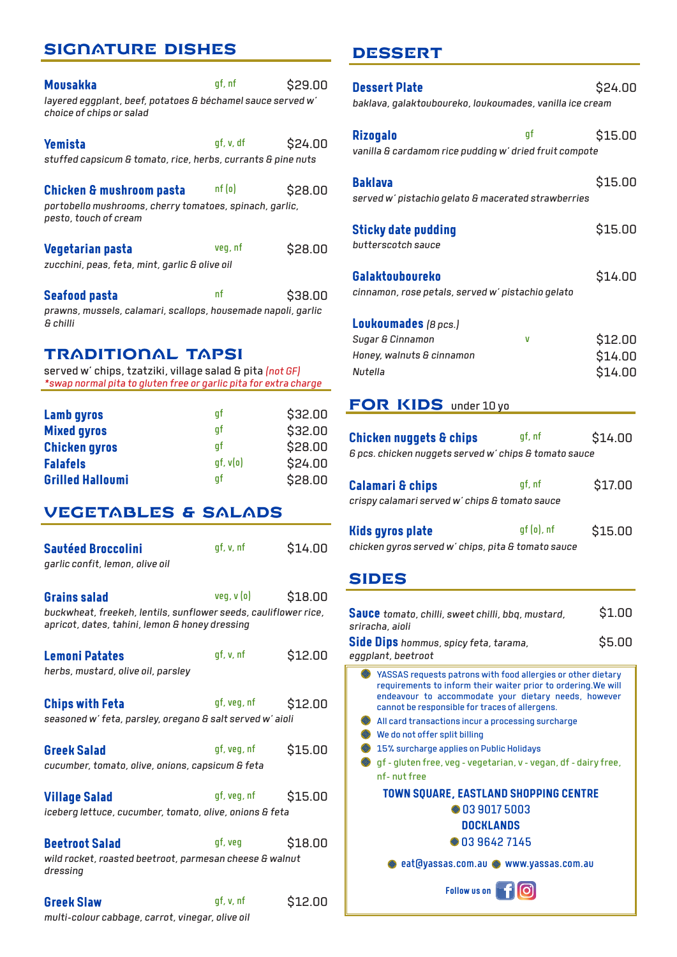# SIGNATURE DISHES

| Mousakka                                                                                | qf, nf    | \$29.00 |
|-----------------------------------------------------------------------------------------|-----------|---------|
| layered eggplant, beef, potatoes & béchamel sauce served w'<br>choice of chips or salad |           |         |
| Yemista                                                                                 | gf, v, df | \$24.00 |
| stuffed capsicum & tomato, rice, herbs, currants & pine nuts                            |           |         |
| <b>Chicken &amp; mushroom pasta</b>                                                     | nf(o)     | \$28.00 |
| portobello mushrooms, cherry tomatoes, spinach, garlic,<br>pesto, touch of cream        |           |         |
| Vegetarian pasta                                                                        | veg, nf   | \$28.00 |
| zucchini, peas, feta, mint, garlic & olive oil                                          |           |         |
| <b>Seafood pasta</b>                                                                    | nf        | \$38.00 |
| prawns, mussels, calamari, scallops, housemade napoli, garlic<br>& chilli               |           |         |
|                                                                                         |           |         |

## TRADITIONAL TAPSI

served w' chips, tzatziki, village salad & pita *(not GF) \*swap normal pita to gluten free or garlic pita for extra charge*

| <b>Lamb gyros</b>       | af            | \$32.00 |
|-------------------------|---------------|---------|
| <b>Mixed gyros</b>      | af            | \$32.00 |
| <b>Chicken gyros</b>    | af            | \$28.00 |
| <b>Falafels</b>         | $gf$ , $v(o)$ | \$24.00 |
| <b>Grilled Halloumi</b> | af            | \$28.00 |

# VEGETABLES & SALADS

| <b>Sautéed Broccolini</b><br>garlic confit, lemon, olive oil                                                                             | qf, v, nf   | \$14.00 |
|------------------------------------------------------------------------------------------------------------------------------------------|-------------|---------|
| <b>Grains salad</b><br>buckwheat, freekeh, lentils, sunflower seeds, cauliflower rice,<br>apricot, dates, tahini, lemon & honey dressing | veg, v(o)   | \$18.00 |
| <b>Lemoni Patates</b><br>herbs, mustard, olive oil, parsley                                                                              | qf, v, nf   | \$12.00 |
| <b>Chips with Feta</b><br>seasoned w'feta, parsley, oregano & salt served w'aioli                                                        | gf, veg, nf | \$12.00 |
| <b>Greek Salad</b><br>cucumber, tomato, olive, onions, capsicum & feta                                                                   | gf, veg, nf | \$15.00 |
| <b>Village Salad</b><br>iceberg lettuce, cucumber, tomato, olive, onions & feta                                                          | gf, veg, nf | \$15.00 |
| <b>Beetroot Salad</b><br>wild rocket, roasted beetroot, parmesan cheese & walnut<br>dressing                                             | gf, veg     | \$18.00 |
| <b>Greek Slaw</b><br>multi-colour cabbage, carrot, vinegar, olive oil                                                                    | qf, v, nf   | \$12.00 |

# DESSERT

| <b>Dessert Plate</b><br>baklava, galaktouboureko, loukoumades, vanilla ice cream                                                                                                                                                                                                                                                                                                                                                                                | \$24.00                       |
|-----------------------------------------------------------------------------------------------------------------------------------------------------------------------------------------------------------------------------------------------------------------------------------------------------------------------------------------------------------------------------------------------------------------------------------------------------------------|-------------------------------|
| qf<br><b>Rizogalo</b><br>vanilla & cardamom rice pudding w' dried fruit compote                                                                                                                                                                                                                                                                                                                                                                                 | \$15.00                       |
| <b>Baklava</b><br>served w' pistachio gelato & macerated strawberries                                                                                                                                                                                                                                                                                                                                                                                           | \$15.00                       |
| <b>Sticky date pudding</b><br>butterscotch sauce                                                                                                                                                                                                                                                                                                                                                                                                                | \$15.00                       |
| <b>Galaktouboureko</b><br>cinnamon, rose petals, served w' pistachio gelato                                                                                                                                                                                                                                                                                                                                                                                     | \$14.00                       |
| Loukoumades (8 pcs.)<br>Sugar & Cinnamon<br>V<br>Honey, walnuts & cinnamon<br>Nutella<br>FOR KIDS under 10 yo                                                                                                                                                                                                                                                                                                                                                   | \$12.00<br>\$14.00<br>\$14.00 |
|                                                                                                                                                                                                                                                                                                                                                                                                                                                                 |                               |
| gf, nf<br><b>Chicken nuggets &amp; chips</b><br>6 pcs. chicken nuggets served w' chips & tomato sauce                                                                                                                                                                                                                                                                                                                                                           | \$14.00                       |
| qf, nf<br><b>Calamari &amp; chips</b><br>crispy calamari served w' chips & tomato sauce                                                                                                                                                                                                                                                                                                                                                                         | \$17.00                       |
| gf (o), nf<br><b>Kids gyros plate</b><br>chicken gyros served w' chips, pita & tomato sauce                                                                                                                                                                                                                                                                                                                                                                     | \$15.00                       |
| SIDES                                                                                                                                                                                                                                                                                                                                                                                                                                                           |                               |
| <b>Sauce</b> tomato, chilli, sweet chilli, bbq, mustard,<br>sriracha, aioli                                                                                                                                                                                                                                                                                                                                                                                     | \$1.00                        |
| Side Dips hommus, spicy feta, tarama,<br>eggplant, beetroot                                                                                                                                                                                                                                                                                                                                                                                                     | \$5.00                        |
| YASSAS requests patrons with food allergies or other dietary<br>requirements to inform their waiter prior to ordering. We will<br>endeavour to accommodate your dietary needs, however<br>cannot be responsible for traces of allergens.<br>All card transactions incur a processing surcharge<br>We do not offer split billing<br>15% surcharge applies on Public Holidays<br>◈ gf - gluten free, veg - vegetarian, v - vegan, df - dairy free,<br>nf-nut free |                               |
| <b>TOWN SQUARE, EASTLAND SHOPPING CENTRE</b><br>● 03 9017 5003                                                                                                                                                                                                                                                                                                                                                                                                  |                               |
| DOCKLANDS                                                                                                                                                                                                                                                                                                                                                                                                                                                       |                               |
| ● 03 9642 7145                                                                                                                                                                                                                                                                                                                                                                                                                                                  |                               |
| ◈ eat@yassas.com.au ◈ www.yassas.com.au<br>Follow us on <b>The all</b>                                                                                                                                                                                                                                                                                                                                                                                          |                               |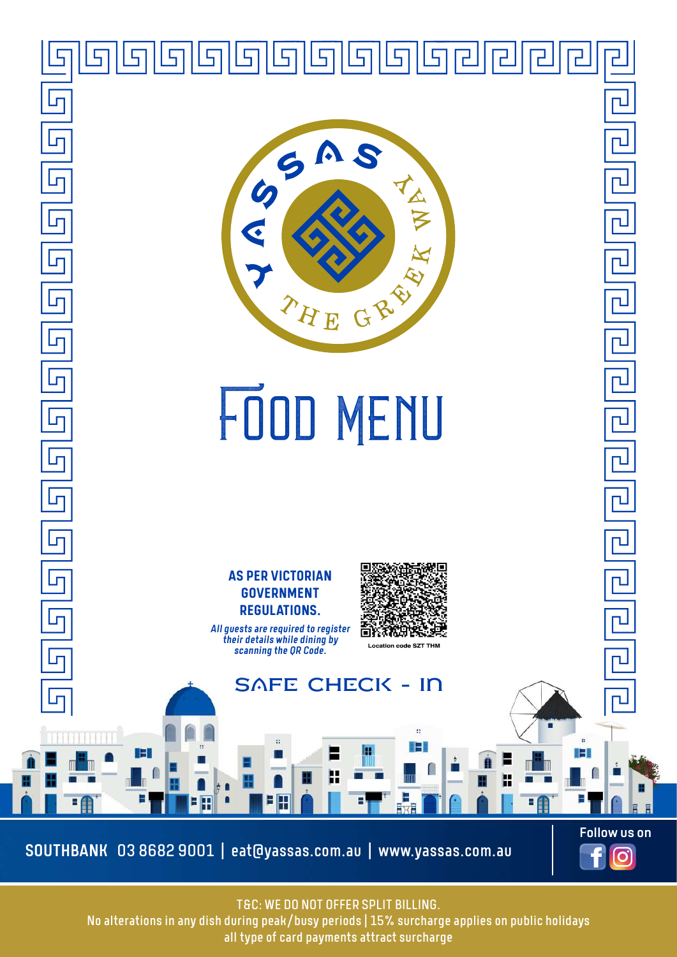

T&C: WE DO NOT OFFER SPLIT BILLING.

 $\blacksquare$  No alterations in any dish during peak/busy periods | 15% surcharge applies on public holidays all type of card payments attract surcharge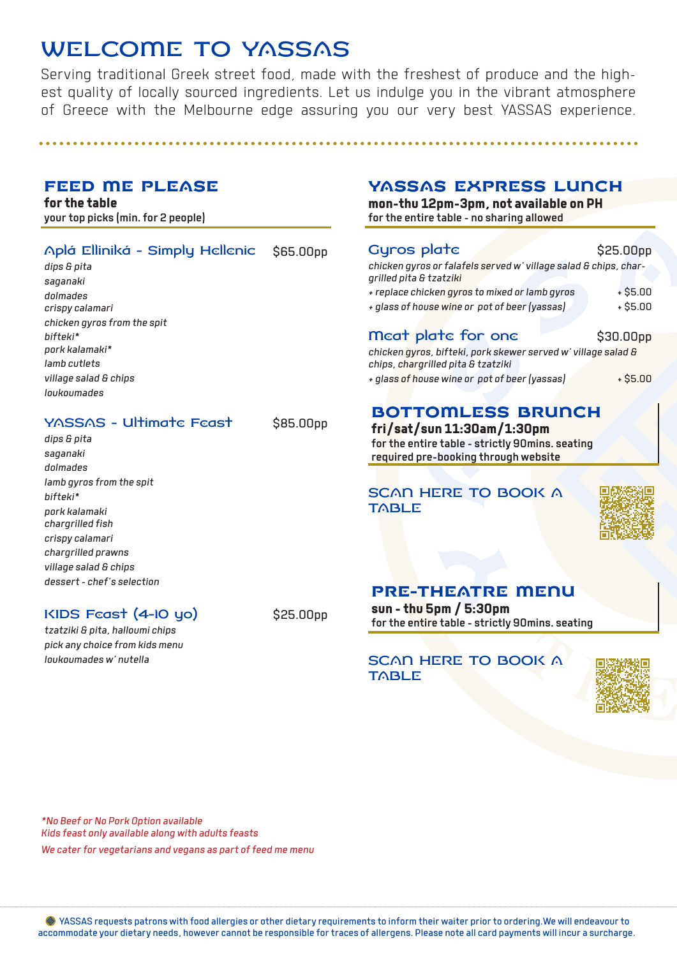# WELCOME TO YASSAS

Serving traditional Greek street food, made with the freshest of produce and the highest quality of locally sourced ingredients. Let us indulge you in the vibrant atmosphere of Greece with the Melbourne edge assuring you our very best YASSAS experience.

## FEED ME PLEASE

**for the table** your top picks (min. for 2 people)

| Aplá Elliniká - Simply Hellenic \$65.00pp |  |
|-------------------------------------------|--|
|-------------------------------------------|--|

*dips & pita saganaki dolmades crispy calamari chicken gyros from the spit bifteki\* pork kalamaki\* lamb cutlets village salad & chips loukoumades*

### YASSAS - Ultimate Feast \$85.00pp

*dips & pita saganaki dolmades lamb gyros from the spit bifteki\* pork kalamaki chargrilled fish crispy calamari chargrilled prawns village salad & chips dessert - chef's selection*

## KIDS Feast (4-10 yo) \$25.00pp

*tzatziki & pita, halloumi chips pick any choice from kids menu loukoumades w' nutella*

## YASSAS EXPRESS LUNCH

**mon-thu 12pm-3pm, not available on PH** for the entire table - no sharing allowed

#### SCAN HERE TO BOOK A TABLE



# PRE-THEATRE MENU

**sun - thu 5pm / 5:30pm** for the entire table - strictly 90mins. seating

### SCAN HERE TO BOOK A **TABLE**



*\*No Beef or No Pork Option available Kids feast only available along with adults feasts We cater for vegetarians and vegans as part of feed me menu*

 YASSAS requests patrons with food allergies or other dietary requirements to inform their waiter prior to ordering.We will endeavour to accommodate your dietary needs, however cannot be responsible for traces of allergens. Please note all card payments will incur a surcharge.